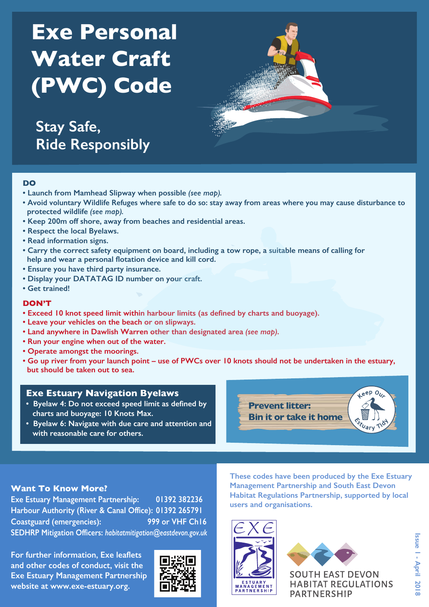# **Exe Personal Water Craft (PWC) Code**

**Stay Safe, Ride Responsibly** 



#### **DO**

- **Launch from Mamhead Slipway when possible** *(see map).*
- **Avoid voluntary Wildlife Refuges where safe to do so: stay away from areas where you may cause disturbance to protected wildlife** *(see map).*
- **Keep 200m off shore, away from beaches and residential areas.**
- **Respect the local Byelaws.**
- **Read information signs.**
- **Carry the correct safety equipment on board, including a tow rope, a suitable means of calling for help and wear a personal flotation device and kill cord.**
- **Ensure you have third party insurance.**
- **Display your DATATAG ID number on your craft.**
- **Get trained!**

#### **DON'T**

- **Exceed 10 knot speed limit within harbour limits (as defined by charts and buoyage).**
- **Leave your vehicles on the beach or on slipways.**
- **Land anywhere in Dawlish Warren other than designated area** *(see map)***.**
- **Run your engine when out of the water.**
- **Operate amongst the moorings.**
- **Go up river from your launch point use of PWCs over 10 knots should not be undertaken in the estuary, but should be taken out to sea.**

## **Exe Estuary Navigation Byelaws**

- **Byelaw 4: Do not exceed speed limit as defined by charts and buoyage: 10 Knots Max.**
- **Byelaw 6: Navigate with due care and attention and with reasonable care for others.**



## **Want To Know More?**

**Exe Estuary Management Partnership: 01392 382236 Harbour Authority (River & Canal Office): 01392 265791 Coastguard (emergencies): 999 or VHF Ch16 SEDHRP Mitigation Officers:** *habitatmitigation@eastdevon.gov.uk*

**For further information, Exe leaflets and other codes of conduct, visit the Exe Estuary Management Partnership website at www.exe-estuary.org.** 



**These codes have been produced by the Exe Estuary Management Partnership and South East Devon Habitat Regulations Partnership, supported by local users and organisations.**